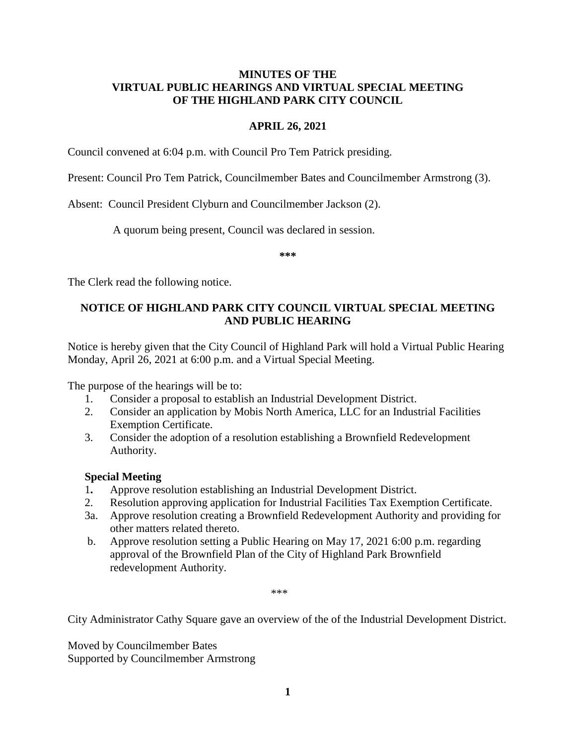## **MINUTES OF THE VIRTUAL PUBLIC HEARINGS AND VIRTUAL SPECIAL MEETING OF THE HIGHLAND PARK CITY COUNCIL**

## **APRIL 26, 2021**

Council convened at 6:04 p.m. with Council Pro Tem Patrick presiding.

Present: Council Pro Tem Patrick, Councilmember Bates and Councilmember Armstrong (3).

Absent: Council President Clyburn and Councilmember Jackson (2).

A quorum being present, Council was declared in session.

**\*\*\***

The Clerk read the following notice.

# **NOTICE OF HIGHLAND PARK CITY COUNCIL VIRTUAL SPECIAL MEETING AND PUBLIC HEARING**

Notice is hereby given that the City Council of Highland Park will hold a Virtual Public Hearing Monday, April 26, 2021 at 6:00 p.m. and a Virtual Special Meeting.

The purpose of the hearings will be to:

- 1. Consider a proposal to establish an Industrial Development District.
- 2. Consider an application by Mobis North America, LLC for an Industrial Facilities Exemption Certificate.
- 3. Consider the adoption of a resolution establishing a Brownfield Redevelopment Authority.

# **Special Meeting**

- 1**.** Approve resolution establishing an Industrial Development District.
- 2. Resolution approving application for Industrial Facilities Tax Exemption Certificate.
- 3a. Approve resolution creating a Brownfield Redevelopment Authority and providing for other matters related thereto.
- b. Approve resolution setting a Public Hearing on May 17, 2021 6:00 p.m. regarding approval of the Brownfield Plan of the City of Highland Park Brownfield redevelopment Authority.

\*\*\*

City Administrator Cathy Square gave an overview of the of the Industrial Development District.

Moved by Councilmember Bates Supported by Councilmember Armstrong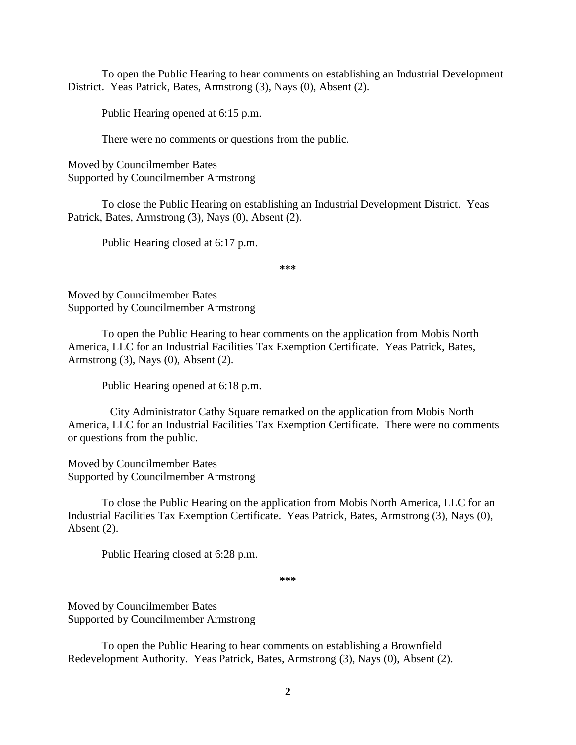To open the Public Hearing to hear comments on establishing an Industrial Development District. Yeas Patrick, Bates, Armstrong (3), Nays (0), Absent (2).

Public Hearing opened at 6:15 p.m.

There were no comments or questions from the public.

Moved by Councilmember Bates Supported by Councilmember Armstrong

To close the Public Hearing on establishing an Industrial Development District. Yeas Patrick, Bates, Armstrong (3), Nays (0), Absent (2).

Public Hearing closed at 6:17 p.m.

**\*\*\***

Moved by Councilmember Bates Supported by Councilmember Armstrong

To open the Public Hearing to hear comments on the application from Mobis North America, LLC for an Industrial Facilities Tax Exemption Certificate. Yeas Patrick, Bates, Armstrong (3), Nays (0), Absent (2).

Public Hearing opened at 6:18 p.m.

City Administrator Cathy Square remarked on the application from Mobis North America, LLC for an Industrial Facilities Tax Exemption Certificate. There were no comments or questions from the public.

Moved by Councilmember Bates Supported by Councilmember Armstrong

To close the Public Hearing on the application from Mobis North America, LLC for an Industrial Facilities Tax Exemption Certificate. Yeas Patrick, Bates, Armstrong (3), Nays (0), Absent (2).

Public Hearing closed at 6:28 p.m.

**\*\*\***

Moved by Councilmember Bates Supported by Councilmember Armstrong

To open the Public Hearing to hear comments on establishing a Brownfield Redevelopment Authority. Yeas Patrick, Bates, Armstrong (3), Nays (0), Absent (2).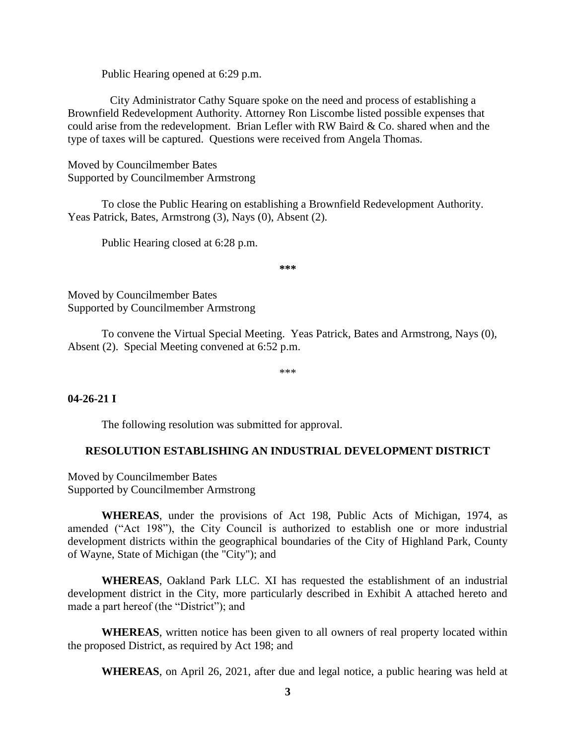Public Hearing opened at 6:29 p.m.

City Administrator Cathy Square spoke on the need and process of establishing a Brownfield Redevelopment Authority. Attorney Ron Liscombe listed possible expenses that could arise from the redevelopment. Brian Lefler with RW Baird & Co. shared when and the type of taxes will be captured. Questions were received from Angela Thomas.

Moved by Councilmember Bates Supported by Councilmember Armstrong

To close the Public Hearing on establishing a Brownfield Redevelopment Authority. Yeas Patrick, Bates, Armstrong (3), Nays (0), Absent (2).

Public Hearing closed at 6:28 p.m.

**\*\*\***

Moved by Councilmember Bates Supported by Councilmember Armstrong

To convene the Virtual Special Meeting. Yeas Patrick, Bates and Armstrong, Nays (0), Absent (2). Special Meeting convened at 6:52 p.m.

\*\*\*

## **04-26-21 I**

The following resolution was submitted for approval.

## **RESOLUTION ESTABLISHING AN INDUSTRIAL DEVELOPMENT DISTRICT**

Moved by Councilmember Bates Supported by Councilmember Armstrong

**WHEREAS**, under the provisions of Act 198, Public Acts of Michigan, 1974, as amended ("Act 198"), the City Council is authorized to establish one or more industrial development districts within the geographical boundaries of the City of Highland Park, County of Wayne, State of Michigan (the "City"); and

**WHEREAS**, Oakland Park LLC. XI has requested the establishment of an industrial development district in the City, more particularly described in Exhibit A attached hereto and made a part hereof (the "District"); and

**WHEREAS**, written notice has been given to all owners of real property located within the proposed District, as required by Act 198; and

**WHEREAS**, on April 26, 2021, after due and legal notice, a public hearing was held at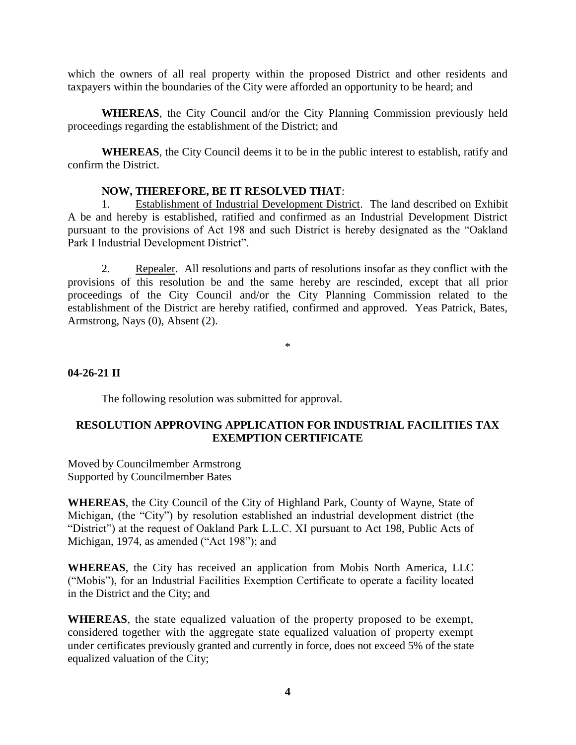which the owners of all real property within the proposed District and other residents and taxpayers within the boundaries of the City were afforded an opportunity to be heard; and

**WHEREAS**, the City Council and/or the City Planning Commission previously held proceedings regarding the establishment of the District; and

**WHEREAS**, the City Council deems it to be in the public interest to establish, ratify and confirm the District.

## **NOW, THEREFORE, BE IT RESOLVED THAT**:

1. Establishment of Industrial Development District. The land described on Exhibit A be and hereby is established, ratified and confirmed as an Industrial Development District pursuant to the provisions of Act 198 and such District is hereby designated as the "Oakland Park I Industrial Development District".

2. Repealer. All resolutions and parts of resolutions insofar as they conflict with the provisions of this resolution be and the same hereby are rescinded, except that all prior proceedings of the City Council and/or the City Planning Commission related to the establishment of the District are hereby ratified, confirmed and approved. Yeas Patrick, Bates, Armstrong, Nays (0), Absent (2).

\*

## **04-26-21 II**

The following resolution was submitted for approval.

## **RESOLUTION APPROVING APPLICATION FOR INDUSTRIAL FACILITIES TAX EXEMPTION CERTIFICATE**

Moved by Councilmember Armstrong Supported by Councilmember Bates

**WHEREAS**, the City Council of the City of Highland Park, County of Wayne, State of Michigan, (the "City") by resolution established an industrial development district (the "District") at the request of Oakland Park L.L.C. XI pursuant to Act 198, Public Acts of Michigan, 1974, as amended ("Act 198"); and

**WHEREAS**, the City has received an application from Mobis North America, LLC ("Mobis"), for an Industrial Facilities Exemption Certificate to operate a facility located in the District and the City; and

**WHEREAS**, the state equalized valuation of the property proposed to be exempt, considered together with the aggregate state equalized valuation of property exempt under certificates previously granted and currently in force, does not exceed 5% of the state equalized valuation of the City;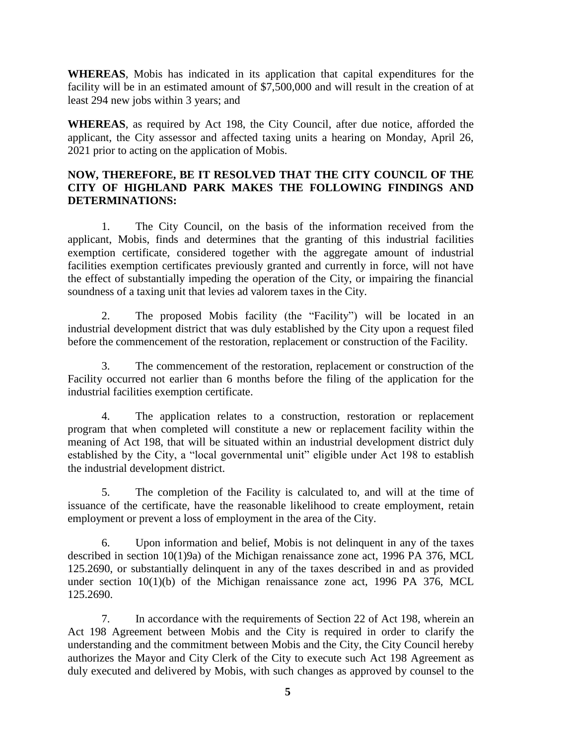**WHEREAS**, Mobis has indicated in its application that capital expenditures for the facility will be in an estimated amount of \$7,500,000 and will result in the creation of at least 294 new jobs within 3 years; and

**WHEREAS**, as required by Act 198, the City Council, after due notice, afforded the applicant, the City assessor and affected taxing units a hearing on Monday, April 26, 2021 prior to acting on the application of Mobis.

# **NOW, THEREFORE, BE IT RESOLVED THAT THE CITY COUNCIL OF THE CITY OF HIGHLAND PARK MAKES THE FOLLOWING FINDINGS AND DETERMINATIONS:**

1. The City Council, on the basis of the information received from the applicant, Mobis, finds and determines that the granting of this industrial facilities exemption certificate, considered together with the aggregate amount of industrial facilities exemption certificates previously granted and currently in force, will not have the effect of substantially impeding the operation of the City, or impairing the financial soundness of a taxing unit that levies ad valorem taxes in the City.

2. The proposed Mobis facility (the "Facility") will be located in an industrial development district that was duly established by the City upon a request filed before the commencement of the restoration, replacement or construction of the Facility.

3. The commencement of the restoration, replacement or construction of the Facility occurred not earlier than 6 months before the filing of the application for the industrial facilities exemption certificate.

4. The application relates to a construction, restoration or replacement program that when completed will constitute a new or replacement facility within the meaning of Act 198, that will be situated within an industrial development district duly established by the City, a "local governmental unit" eligible under Act 198 to establish the industrial development district.

5. The completion of the Facility is calculated to, and will at the time of issuance of the certificate, have the reasonable likelihood to create employment, retain employment or prevent a loss of employment in the area of the City.

6. Upon information and belief, Mobis is not delinquent in any of the taxes described in section 10(1)9a) of the Michigan renaissance zone act, 1996 PA 376, MCL 125.2690, or substantially delinquent in any of the taxes described in and as provided under section  $10(1)(b)$  of the Michigan renaissance zone act, 1996 PA 376, MCL 125.2690.

7. In accordance with the requirements of Section 22 of Act 198, wherein an Act 198 Agreement between Mobis and the City is required in order to clarify the understanding and the commitment between Mobis and the City, the City Council hereby authorizes the Mayor and City Clerk of the City to execute such Act 198 Agreement as duly executed and delivered by Mobis, with such changes as approved by counsel to the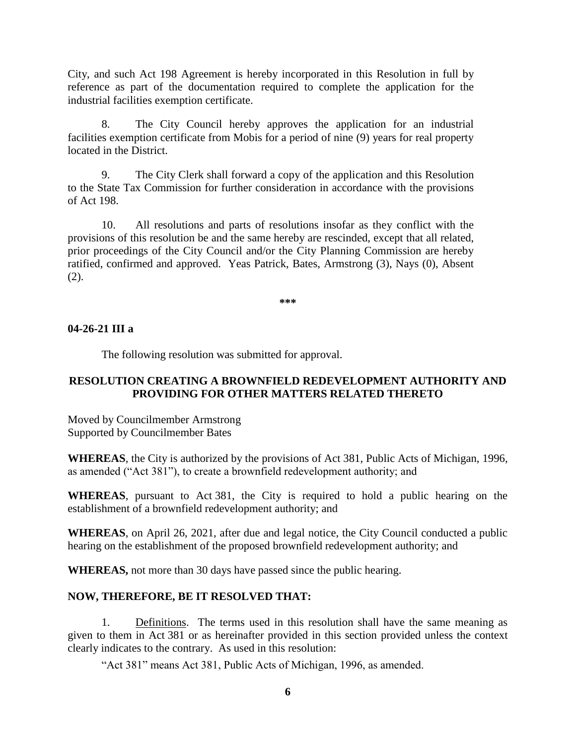City, and such Act 198 Agreement is hereby incorporated in this Resolution in full by reference as part of the documentation required to complete the application for the industrial facilities exemption certificate.

8. The City Council hereby approves the application for an industrial facilities exemption certificate from Mobis for a period of nine (9) years for real property located in the District.

9. The City Clerk shall forward a copy of the application and this Resolution to the State Tax Commission for further consideration in accordance with the provisions of Act 198.

10. All resolutions and parts of resolutions insofar as they conflict with the provisions of this resolution be and the same hereby are rescinded, except that all related, prior proceedings of the City Council and/or the City Planning Commission are hereby ratified, confirmed and approved. Yeas Patrick, Bates, Armstrong (3), Nays (0), Absent (2).

**\*\*\***

#### **04-26-21 III a**

The following resolution was submitted for approval.

## **RESOLUTION CREATING A BROWNFIELD REDEVELOPMENT AUTHORITY AND PROVIDING FOR OTHER MATTERS RELATED THERETO**

Moved by Councilmember Armstrong Supported by Councilmember Bates

**WHEREAS**, the City is authorized by the provisions of Act 381, Public Acts of Michigan, 1996, as amended ("Act 381"), to create a brownfield redevelopment authority; and

**WHEREAS**, pursuant to Act 381, the City is required to hold a public hearing on the establishment of a brownfield redevelopment authority; and

**WHEREAS**, on April 26, 2021, after due and legal notice, the City Council conducted a public hearing on the establishment of the proposed brownfield redevelopment authority; and

**WHEREAS,** not more than 30 days have passed since the public hearing.

#### **NOW, THEREFORE, BE IT RESOLVED THAT:**

1. Definitions. The terms used in this resolution shall have the same meaning as given to them in Act 381 or as hereinafter provided in this section provided unless the context clearly indicates to the contrary. As used in this resolution:

"Act 381" means Act 381, Public Acts of Michigan, 1996, as amended.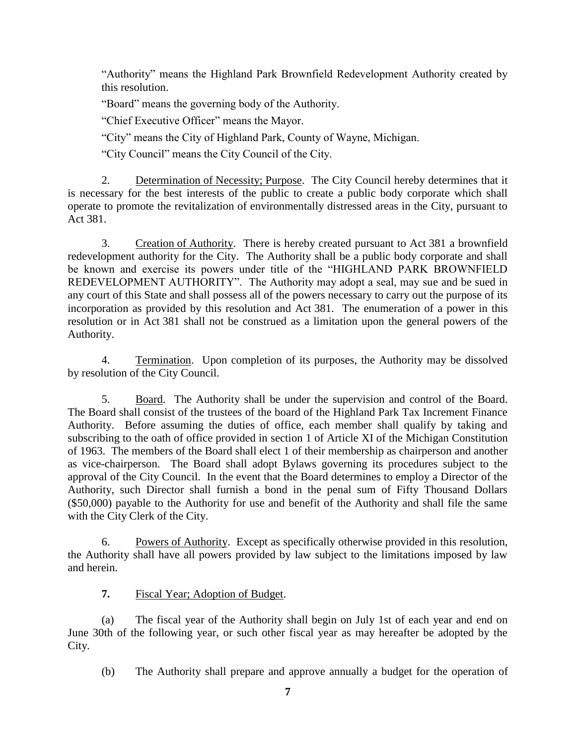"Authority" means the Highland Park Brownfield Redevelopment Authority created by this resolution.

"Board" means the governing body of the Authority.

"Chief Executive Officer" means the Mayor.

"City" means the City of Highland Park, County of Wayne, Michigan.

"City Council" means the City Council of the City.

2. Determination of Necessity; Purpose. The City Council hereby determines that it is necessary for the best interests of the public to create a public body corporate which shall operate to promote the revitalization of environmentally distressed areas in the City, pursuant to Act 381.

3. Creation of Authority. There is hereby created pursuant to Act 381 a brownfield redevelopment authority for the City. The Authority shall be a public body corporate and shall be known and exercise its powers under title of the "HIGHLAND PARK BROWNFIELD REDEVELOPMENT AUTHORITY". The Authority may adopt a seal, may sue and be sued in any court of this State and shall possess all of the powers necessary to carry out the purpose of its incorporation as provided by this resolution and Act 381. The enumeration of a power in this resolution or in Act 381 shall not be construed as a limitation upon the general powers of the Authority.

4. Termination. Upon completion of its purposes, the Authority may be dissolved by resolution of the City Council.

5. Board. The Authority shall be under the supervision and control of the Board. The Board shall consist of the trustees of the board of the Highland Park Tax Increment Finance Authority. Before assuming the duties of office, each member shall qualify by taking and subscribing to the oath of office provided in section 1 of Article XI of the Michigan Constitution of 1963. The members of the Board shall elect 1 of their membership as chairperson and another as vice-chairperson. The Board shall adopt Bylaws governing its procedures subject to the approval of the City Council. In the event that the Board determines to employ a Director of the Authority, such Director shall furnish a bond in the penal sum of Fifty Thousand Dollars (\$50,000) payable to the Authority for use and benefit of the Authority and shall file the same with the City Clerk of the City.

6. Powers of Authority. Except as specifically otherwise provided in this resolution, the Authority shall have all powers provided by law subject to the limitations imposed by law and herein.

# **7.** Fiscal Year; Adoption of Budget.

(a) The fiscal year of the Authority shall begin on July 1st of each year and end on June 30th of the following year, or such other fiscal year as may hereafter be adopted by the City.

(b) The Authority shall prepare and approve annually a budget for the operation of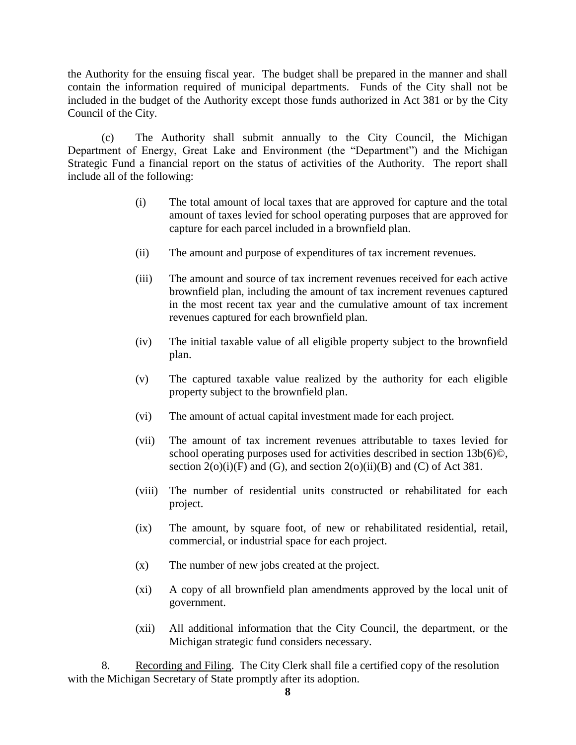the Authority for the ensuing fiscal year. The budget shall be prepared in the manner and shall contain the information required of municipal departments. Funds of the City shall not be included in the budget of the Authority except those funds authorized in Act 381 or by the City Council of the City.

(c) The Authority shall submit annually to the City Council, the Michigan Department of Energy, Great Lake and Environment (the "Department") and the Michigan Strategic Fund a financial report on the status of activities of the Authority. The report shall include all of the following:

- (i) The total amount of local taxes that are approved for capture and the total amount of taxes levied for school operating purposes that are approved for capture for each parcel included in a brownfield plan.
- (ii) The amount and purpose of expenditures of tax increment revenues.
- (iii) The amount and source of tax increment revenues received for each active brownfield plan, including the amount of tax increment revenues captured in the most recent tax year and the cumulative amount of tax increment revenues captured for each brownfield plan.
- (iv) The initial taxable value of all eligible property subject to the brownfield plan.
- (v) The captured taxable value realized by the authority for each eligible property subject to the brownfield plan.
- (vi) The amount of actual capital investment made for each project.
- (vii) The amount of tax increment revenues attributable to taxes levied for school operating purposes used for activities described in section 13b(6)<sup>©</sup>, section  $2(o)(i)(F)$  and  $(G)$ , and section  $2(o)(ii)(B)$  and  $(C)$  of Act 381.
- (viii) The number of residential units constructed or rehabilitated for each project.
- (ix) The amount, by square foot, of new or rehabilitated residential, retail, commercial, or industrial space for each project.
- (x) The number of new jobs created at the project.
- (xi) A copy of all brownfield plan amendments approved by the local unit of government.
- (xii) All additional information that the City Council, the department, or the Michigan strategic fund considers necessary.

8. Recording and Filing. The City Clerk shall file a certified copy of the resolution with the Michigan Secretary of State promptly after its adoption.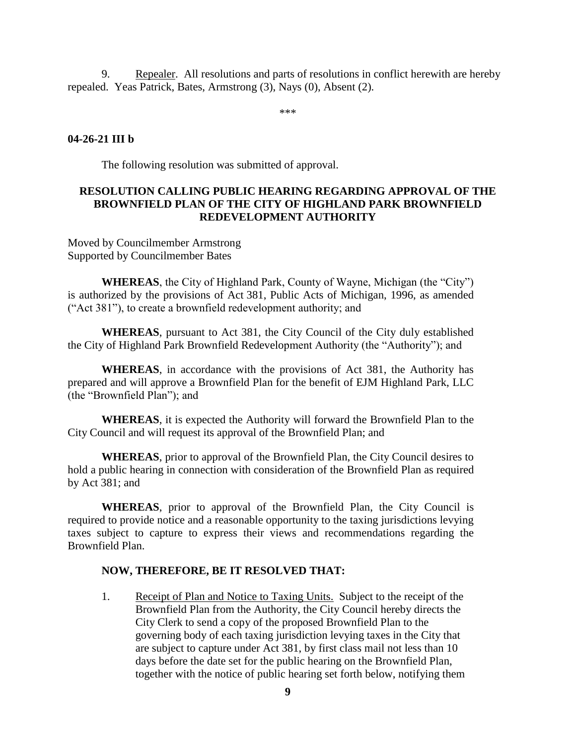9. Repealer. All resolutions and parts of resolutions in conflict herewith are hereby repealed. Yeas Patrick, Bates, Armstrong (3), Nays (0), Absent (2).

\*\*\*

## **04-26-21 III b**

The following resolution was submitted of approval.

## **RESOLUTION CALLING PUBLIC HEARING REGARDING APPROVAL OF THE BROWNFIELD PLAN OF THE CITY OF HIGHLAND PARK BROWNFIELD REDEVELOPMENT AUTHORITY**

Moved by Councilmember Armstrong Supported by Councilmember Bates

**WHEREAS**, the City of Highland Park, County of Wayne, Michigan (the "City") is authorized by the provisions of Act 381, Public Acts of Michigan, 1996, as amended ("Act 381"), to create a brownfield redevelopment authority; and

**WHEREAS**, pursuant to Act 381, the City Council of the City duly established the City of Highland Park Brownfield Redevelopment Authority (the "Authority"); and

**WHEREAS**, in accordance with the provisions of Act 381, the Authority has prepared and will approve a Brownfield Plan for the benefit of EJM Highland Park, LLC (the "Brownfield Plan"); and

**WHEREAS**, it is expected the Authority will forward the Brownfield Plan to the City Council and will request its approval of the Brownfield Plan; and

**WHEREAS**, prior to approval of the Brownfield Plan, the City Council desires to hold a public hearing in connection with consideration of the Brownfield Plan as required by Act 381; and

**WHEREAS**, prior to approval of the Brownfield Plan, the City Council is required to provide notice and a reasonable opportunity to the taxing jurisdictions levying taxes subject to capture to express their views and recommendations regarding the Brownfield Plan.

## **NOW, THEREFORE, BE IT RESOLVED THAT:**

1. Receipt of Plan and Notice to Taxing Units. Subject to the receipt of the Brownfield Plan from the Authority, the City Council hereby directs the City Clerk to send a copy of the proposed Brownfield Plan to the governing body of each taxing jurisdiction levying taxes in the City that are subject to capture under Act 381, by first class mail not less than 10 days before the date set for the public hearing on the Brownfield Plan, together with the notice of public hearing set forth below, notifying them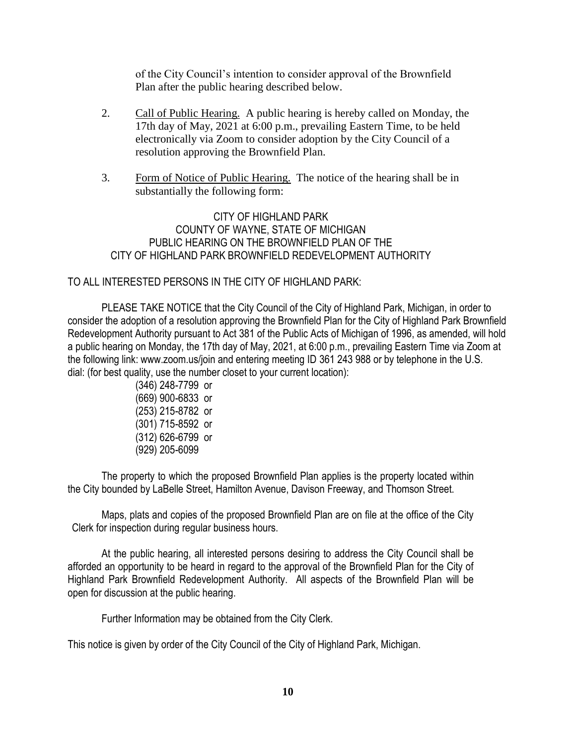of the City Council's intention to consider approval of the Brownfield Plan after the public hearing described below.

- 2. Call of Public Hearing. A public hearing is hereby called on Monday, the 17th day of May, 2021 at 6:00 p.m., prevailing Eastern Time, to be held electronically via Zoom to consider adoption by the City Council of a resolution approving the Brownfield Plan.
- 3. Form of Notice of Public Hearing. The notice of the hearing shall be in substantially the following form:

CITY OF HIGHLAND PARK COUNTY OF WAYNE, STATE OF MICHIGAN PUBLIC HEARING ON THE BROWNFIELD PLAN OF THE CITY OF HIGHLAND PARK BROWNFIELD REDEVELOPMENT AUTHORITY

# TO ALL INTERESTED PERSONS IN THE CITY OF HIGHLAND PARK:

PLEASE TAKE NOTICE that the City Council of the City of Highland Park, Michigan, in order to consider the adoption of a resolution approving the Brownfield Plan for the City of Highland Park Brownfield Redevelopment Authority pursuant to Act 381 of the Public Acts of Michigan of 1996, as amended, will hold a public hearing on Monday, the 17th day of May, 2021, at 6:00 p.m., prevailing Eastern Time via Zoom at the following link: www.zoom.us/join and entering meeting ID 361 243 988 or by telephone in the U.S. dial: (for best quality, use the number closet to your current location):

> (346) 248-7799 or (669) 900-6833 or (253) 215-8782 or (301) 715-8592 or (312) 626-6799 or (929) 205-6099

The property to which the proposed Brownfield Plan applies is the property located within the City bounded by LaBelle Street, Hamilton Avenue, Davison Freeway, and Thomson Street.

Maps, plats and copies of the proposed Brownfield Plan are on file at the office of the City Clerk for inspection during regular business hours.

At the public hearing, all interested persons desiring to address the City Council shall be afforded an opportunity to be heard in regard to the approval of the Brownfield Plan for the City of Highland Park Brownfield Redevelopment Authority. All aspects of the Brownfield Plan will be open for discussion at the public hearing.

Further Information may be obtained from the City Clerk.

This notice is given by order of the City Council of the City of Highland Park, Michigan.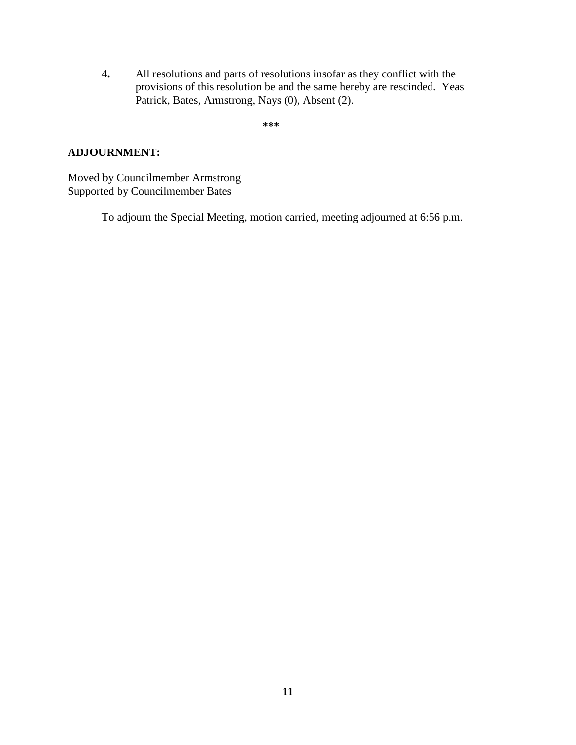4**.** All resolutions and parts of resolutions insofar as they conflict with the provisions of this resolution be and the same hereby are rescinded. Yeas Patrick, Bates, Armstrong, Nays (0), Absent (2).

**\*\*\***

### **ADJOURNMENT:**

Moved by Councilmember Armstrong Supported by Councilmember Bates

To adjourn the Special Meeting, motion carried, meeting adjourned at 6:56 p.m.